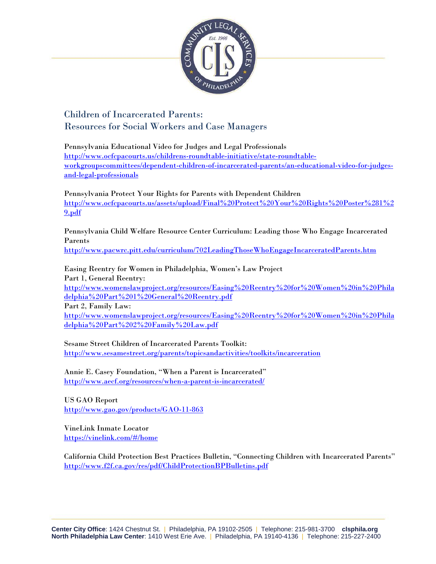

Children of Incarcerated Parents: Resources for Social Workers and Case Managers

Pennsylvania Educational Video for Judges and Legal Professionals [http://www.ocfcpacourts.us/childrens-roundtable-initiative/state-roundtable](http://www.ocfcpacourts.us/childrens-roundtable-initiative/state-roundtable-workgroupscommittees/dependent-children-of-incarcerated-parents/an-educational-video-for-judges-and-legal-professionals)[workgroupscommittees/dependent-children-of-incarcerated-parents/an-educational-video-for-judges](http://www.ocfcpacourts.us/childrens-roundtable-initiative/state-roundtable-workgroupscommittees/dependent-children-of-incarcerated-parents/an-educational-video-for-judges-and-legal-professionals)[and-legal-professionals](http://www.ocfcpacourts.us/childrens-roundtable-initiative/state-roundtable-workgroupscommittees/dependent-children-of-incarcerated-parents/an-educational-video-for-judges-and-legal-professionals)

Pennsylvania Protect Your Rights for Parents with Dependent Children [http://www.ocfcpacourts.us/assets/upload/Final%20Protect%20Your%20Rights%20Poster%281%2](http://www.ocfcpacourts.us/assets/upload/Final%20Protect%20Your%20Rights%20Poster%281%29.pdf) [9.pdf](http://www.ocfcpacourts.us/assets/upload/Final%20Protect%20Your%20Rights%20Poster%281%29.pdf)

Pennsylvania Child Welfare Resource Center Curriculum: Leading those Who Engage Incarcerated Parents

<http://www.pacwrc.pitt.edu/curriculum/702LeadingThoseWhoEngageIncarceratedParents.htm>

Easing Reentry for Women in Philadelphia, Women's Law Project Part 1, General Reentry:

[http://www.womenslawproject.org/resources/Easing%20Reentry%20for%20Women%20in%20Phila](http://www.womenslawproject.org/resources/Easing%20Reentry%20for%20Women%20in%20Philadelphia%20Part%201%20General%20Reentry.pdf) [delphia%20Part%201%20General%20Reentry.pdf](http://www.womenslawproject.org/resources/Easing%20Reentry%20for%20Women%20in%20Philadelphia%20Part%201%20General%20Reentry.pdf)

Part 2, Family Law:

[http://www.womenslawproject.org/resources/Easing%20Reentry%20for%20Women%20in%20Phila](http://www.womenslawproject.org/resources/Easing%20Reentry%20for%20Women%20in%20Philadelphia%20Part%202%20Family%20Law.pdf) [delphia%20Part%202%20Family%20Law.pdf](http://www.womenslawproject.org/resources/Easing%20Reentry%20for%20Women%20in%20Philadelphia%20Part%202%20Family%20Law.pdf)

Sesame Street Children of Incarcerated Parents Toolkit: <http://www.sesamestreet.org/parents/topicsandactivities/toolkits/incarceration>

Annie E. Casey Foundation, "When a Parent is Incarcerated" <http://www.aecf.org/resources/when-a-parent-is-incarcerated/>

US GAO Report <http://www.gao.gov/products/GAO-11-863>

VineLink Inmate Locator <https://vinelink.com/#/home>

California Child Protection Best Practices Bulletin, "Connecting Children with Incarcerated Parents" <http://www.f2f.ca.gov/res/pdf/ChildProtectionBPBulletins.pdf>